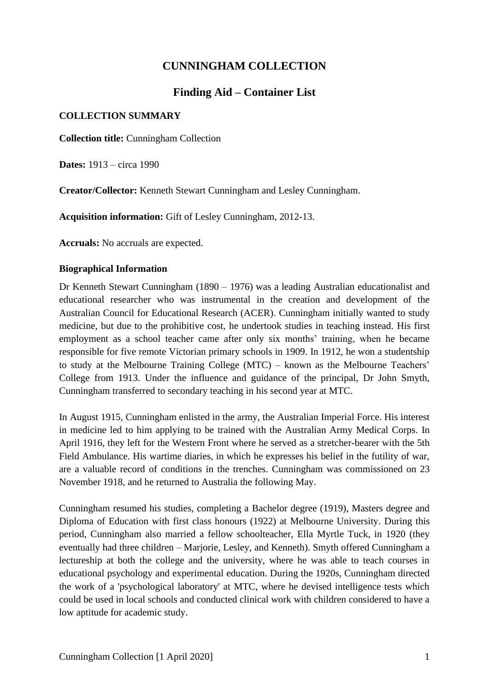# **CUNNINGHAM COLLECTION**

# **Finding Aid – Container List**

## **COLLECTION SUMMARY**

**Collection title:** Cunningham Collection

**Dates:** 1913 – circa 1990

**Creator/Collector:** Kenneth Stewart Cunningham and Lesley Cunningham.

**Acquisition information:** Gift of Lesley Cunningham, 2012-13.

**Accruals:** No accruals are expected.

## **Biographical Information**

Dr Kenneth Stewart Cunningham (1890 – 1976) was a leading Australian educationalist and educational researcher who was instrumental in the creation and development of the Australian Council for Educational Research (ACER). Cunningham initially wanted to study medicine, but due to the prohibitive cost, he undertook studies in teaching instead. His first employment as a school teacher came after only six months' training, when he became responsible for five remote Victorian primary schools in 1909. In 1912, he won a studentship to study at the Melbourne Training College (MTC) – known as the Melbourne Teachers' College from 1913. Under the influence and guidance of the principal, Dr John Smyth, Cunningham transferred to secondary teaching in his second year at MTC.

In August 1915, Cunningham enlisted in the army, the Australian Imperial Force. His interest in medicine led to him applying to be trained with the Australian Army Medical Corps. In April 1916, they left for the Western Front where he served as a stretcher-bearer with the 5th Field Ambulance. His wartime diaries, in which he expresses his belief in the futility of war, are a valuable record of conditions in the trenches. Cunningham was commissioned on 23 November 1918, and he returned to Australia the following May.

Cunningham resumed his studies, completing a Bachelor degree (1919), Masters degree and Diploma of Education with first class honours (1922) at Melbourne University. During this period, Cunningham also married a fellow schoolteacher, Ella Myrtle Tuck, in 1920 (they eventually had three children – Marjorie, Lesley, and Kenneth). Smyth offered Cunningham a lectureship at both the college and the university, where he was able to teach courses in educational psychology and experimental education. During the 1920s, Cunningham directed the work of a 'psychological laboratory' at MTC, where he devised intelligence tests which could be used in local schools and conducted clinical work with children considered to have a low aptitude for academic study.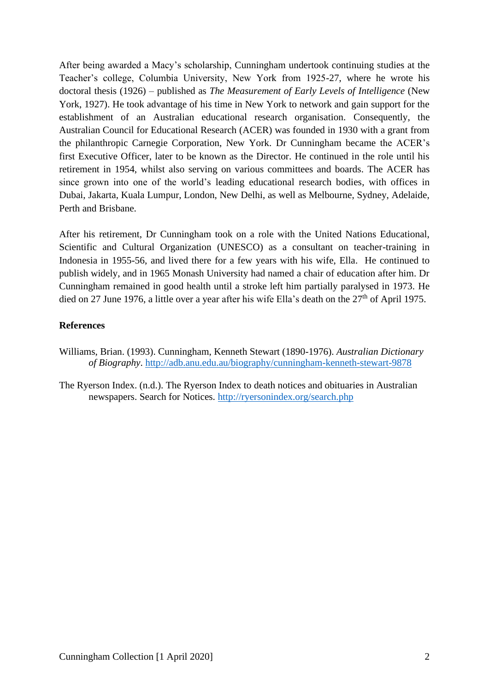After being awarded a Macy's scholarship, Cunningham undertook continuing studies at the Teacher's college, Columbia University, New York from 1925-27, where he wrote his doctoral thesis (1926) – published as *The Measurement of Early Levels of Intelligence* (New York, 1927). He took advantage of his time in New York to network and gain support for the establishment of an Australian educational research organisation. Consequently, the Australian Council for Educational Research (ACER) was founded in 1930 with a grant from the philanthropic Carnegie Corporation, New York. Dr Cunningham became the ACER's first Executive Officer, later to be known as the Director. He continued in the role until his retirement in 1954, whilst also serving on various committees and boards. The ACER has since grown into one of the world's leading educational research bodies, with offices in Dubai, Jakarta, Kuala Lumpur, London, New Delhi, as well as Melbourne, Sydney, Adelaide, Perth and Brisbane.

After his retirement, Dr Cunningham took on a role with the United Nations Educational, Scientific and Cultural Organization (UNESCO) as a consultant on teacher-training in Indonesia in 1955-56, and lived there for a few years with his wife, Ella. He continued to publish widely, and in 1965 Monash University had named a chair of education after him. Dr Cunningham remained in good health until a stroke left him partially paralysed in 1973. He died on 27 June 1976, a little over a year after his wife Ella's death on the  $27<sup>th</sup>$  of April 1975.

#### **References**

- Williams, Brian. (1993). Cunningham, Kenneth Stewart (1890-1976). *Australian Dictionary of Biography*.<http://adb.anu.edu.au/biography/cunningham-kenneth-stewart-9878>
- The Ryerson Index. (n.d.). The Ryerson Index to death notices and obituaries in Australian newspapers. Search for Notices.<http://ryersonindex.org/search.php>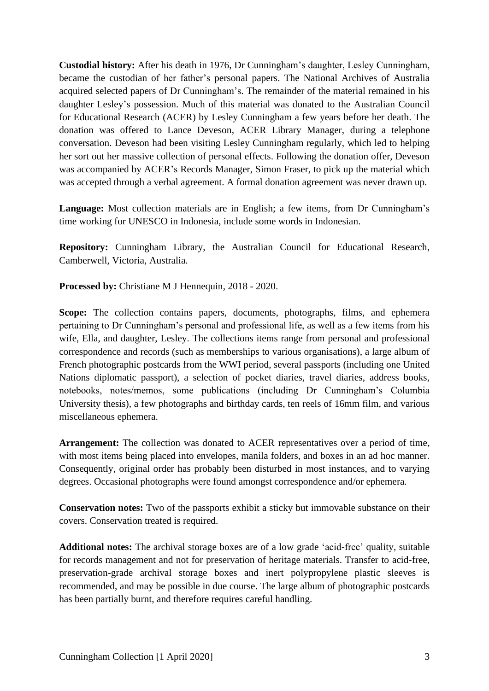**Custodial history:** After his death in 1976, Dr Cunningham's daughter, Lesley Cunningham, became the custodian of her father's personal papers. The National Archives of Australia acquired selected papers of Dr Cunningham's. The remainder of the material remained in his daughter Lesley's possession. Much of this material was donated to the Australian Council for Educational Research (ACER) by Lesley Cunningham a few years before her death. The donation was offered to Lance Deveson, ACER Library Manager, during a telephone conversation. Deveson had been visiting Lesley Cunningham regularly, which led to helping her sort out her massive collection of personal effects. Following the donation offer, Deveson was accompanied by ACER's Records Manager, Simon Fraser, to pick up the material which was accepted through a verbal agreement. A formal donation agreement was never drawn up.

**Language:** Most collection materials are in English; a few items, from Dr Cunningham's time working for UNESCO in Indonesia, include some words in Indonesian.

**Repository:** Cunningham Library, the Australian Council for Educational Research, Camberwell, Victoria, Australia.

**Processed by:** Christiane M J Hennequin, 2018 - 2020.

**Scope:** The collection contains papers, documents, photographs, films, and ephemera pertaining to Dr Cunningham's personal and professional life, as well as a few items from his wife, Ella, and daughter, Lesley. The collections items range from personal and professional correspondence and records (such as memberships to various organisations), a large album of French photographic postcards from the WWI period, several passports (including one United Nations diplomatic passport), a selection of pocket diaries, travel diaries, address books, notebooks, notes/memos, some publications (including Dr Cunningham's Columbia University thesis), a few photographs and birthday cards, ten reels of 16mm film, and various miscellaneous ephemera.

**Arrangement:** The collection was donated to ACER representatives over a period of time, with most items being placed into envelopes, manila folders, and boxes in an ad hoc manner. Consequently, original order has probably been disturbed in most instances, and to varying degrees. Occasional photographs were found amongst correspondence and/or ephemera.

**Conservation notes:** Two of the passports exhibit a sticky but immovable substance on their covers. Conservation treated is required.

**Additional notes:** The archival storage boxes are of a low grade 'acid-free' quality, suitable for records management and not for preservation of heritage materials. Transfer to acid-free, preservation-grade archival storage boxes and inert polypropylene plastic sleeves is recommended, and may be possible in due course. The large album of photographic postcards has been partially burnt, and therefore requires careful handling.